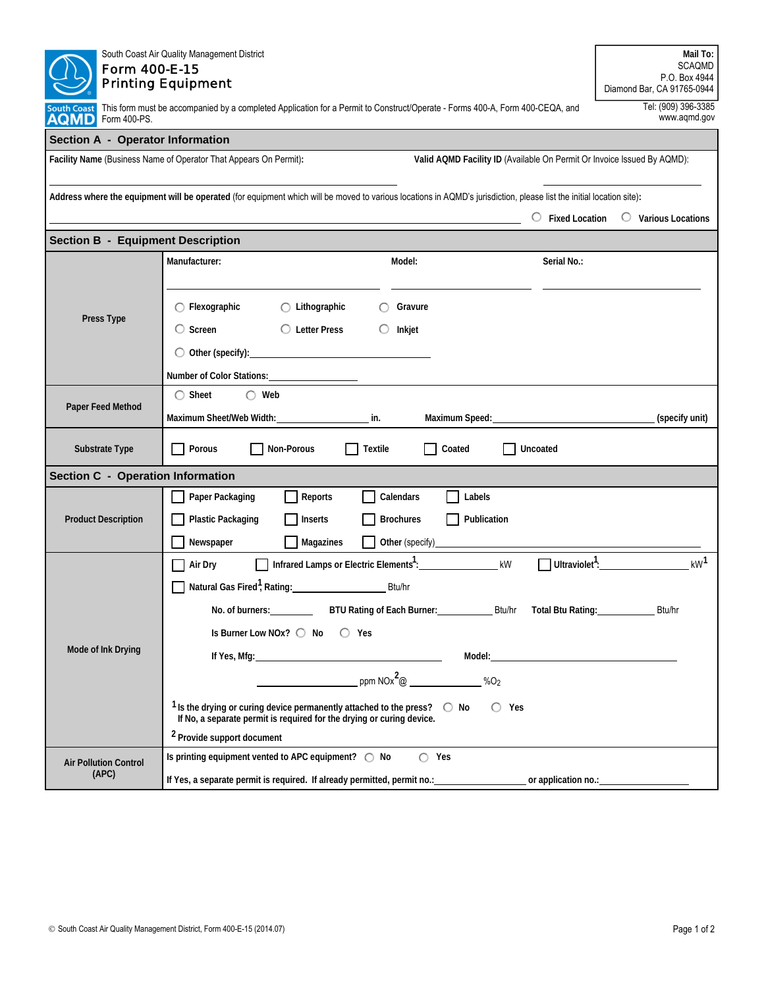| Form 400-E-15                            | South Coast Air Quality Management District<br><b>Printing Equipment</b>                                                                                                                | Mail To:<br><b>SCAQMD</b><br>P.O. Box 4944<br>Diamond Bar, CA 91765-0944 |  |  |  |  |  |  |  |
|------------------------------------------|-----------------------------------------------------------------------------------------------------------------------------------------------------------------------------------------|--------------------------------------------------------------------------|--|--|--|--|--|--|--|
| South Coast<br>AQMD<br>Form 400-PS.      | This form must be accompanied by a completed Application for a Permit to Construct/Operate - Forms 400-A, Form 400-CEQA, and                                                            | Tel: (909) 396-3385<br>www.aqmd.gov                                      |  |  |  |  |  |  |  |
| Section A - Operator Information         |                                                                                                                                                                                         |                                                                          |  |  |  |  |  |  |  |
|                                          | Facility Name (Business Name of Operator That Appears On Permit):<br>Valid AQMD Facility ID (Available On Permit Or Invoice Issued By AQMD):                                            |                                                                          |  |  |  |  |  |  |  |
|                                          | Address where the equipment will be operated (for equipment which will be moved to various locations in AQMD's jurisdiction, please list the initial location site):                    | $\circ$ Fixed Location $\circ$ Various Locations                         |  |  |  |  |  |  |  |
| <b>Section B - Equipment Description</b> |                                                                                                                                                                                         |                                                                          |  |  |  |  |  |  |  |
| Press Type                               | Manufacturer:<br>Model:<br>Serial No.:                                                                                                                                                  |                                                                          |  |  |  |  |  |  |  |
|                                          | $\bigcap$ Flexographic<br>$\bigcirc$ Lithographic<br>Gravure                                                                                                                            |                                                                          |  |  |  |  |  |  |  |
|                                          | $\circ$ Screen<br>◯ Letter Press<br>Inkjet                                                                                                                                              |                                                                          |  |  |  |  |  |  |  |
|                                          | $\bigcirc$ Other (specify):                                                                                                                                                             |                                                                          |  |  |  |  |  |  |  |
|                                          | Number of Color Stations: Number of Color Stations:<br>$\bigcirc$ Sheet<br>$\bigcirc$ Web                                                                                               |                                                                          |  |  |  |  |  |  |  |
| Paper Feed Method                        | Maximum Sheet/Web Width:<br>Maximum Speed:<br>in.                                                                                                                                       | (specify unit)                                                           |  |  |  |  |  |  |  |
| Substrate Type                           | Porous<br>Non-Porous<br>Textile<br>Coated<br>Uncoated                                                                                                                                   |                                                                          |  |  |  |  |  |  |  |
| <b>Section C - Operation Information</b> |                                                                                                                                                                                         |                                                                          |  |  |  |  |  |  |  |
|                                          | Paper Packaging<br>Reports<br>Calendars<br>Labels                                                                                                                                       |                                                                          |  |  |  |  |  |  |  |
| <b>Product Description</b>               | <b>Brochures</b><br>Publication<br><b>Plastic Packaging</b><br>Inserts<br>$\mathbf{I}$                                                                                                  |                                                                          |  |  |  |  |  |  |  |
|                                          | <b>Magazines</b><br>Newspaper                                                                                                                                                           |                                                                          |  |  |  |  |  |  |  |
|                                          | Infrared Lamps or Electric Elements <sup>1</sup> :<br>kW<br>Air Dry                                                                                                                     | kW <sup>1</sup><br>$\Box$ Ultraviolet <sup>1</sup> :                     |  |  |  |  |  |  |  |
| Mode of Ink Drying                       | Natural Gas Fired <sup>1</sup> , Rating:<br>Btu/hr                                                                                                                                      |                                                                          |  |  |  |  |  |  |  |
|                                          | No. of burners: ____________<br>BTU Rating of Each Burner: Btu/hr Total Btu Rating:                                                                                                     | Btu/hr                                                                   |  |  |  |  |  |  |  |
|                                          | Is Burner Low NOx? $\bigcirc$ No $\bigcirc$ Yes                                                                                                                                         |                                                                          |  |  |  |  |  |  |  |
|                                          | Model: Note that the service of the service of the service of the service of the service of the service of the                                                                          |                                                                          |  |  |  |  |  |  |  |
|                                          | ppm NOx <sup>2</sup> @ ______________%O <sub>2</sub>                                                                                                                                    |                                                                          |  |  |  |  |  |  |  |
|                                          | <sup>1</sup> Is the drying or curing device permanently attached to the press? $\bigcirc$ No<br>$\bigcirc$ Yes<br>If No, a separate permit is required for the drying or curing device. |                                                                          |  |  |  |  |  |  |  |
|                                          | <sup>2</sup> Provide support document<br>$\cap$ Yes                                                                                                                                     |                                                                          |  |  |  |  |  |  |  |
| <b>Air Pollution Control</b><br>(APC)    | Is printing equipment vented to APC equipment? ◯ No<br>If Yes, a separate permit is required. If already permitted, permit no.: _______________________ or application no.: _______     |                                                                          |  |  |  |  |  |  |  |